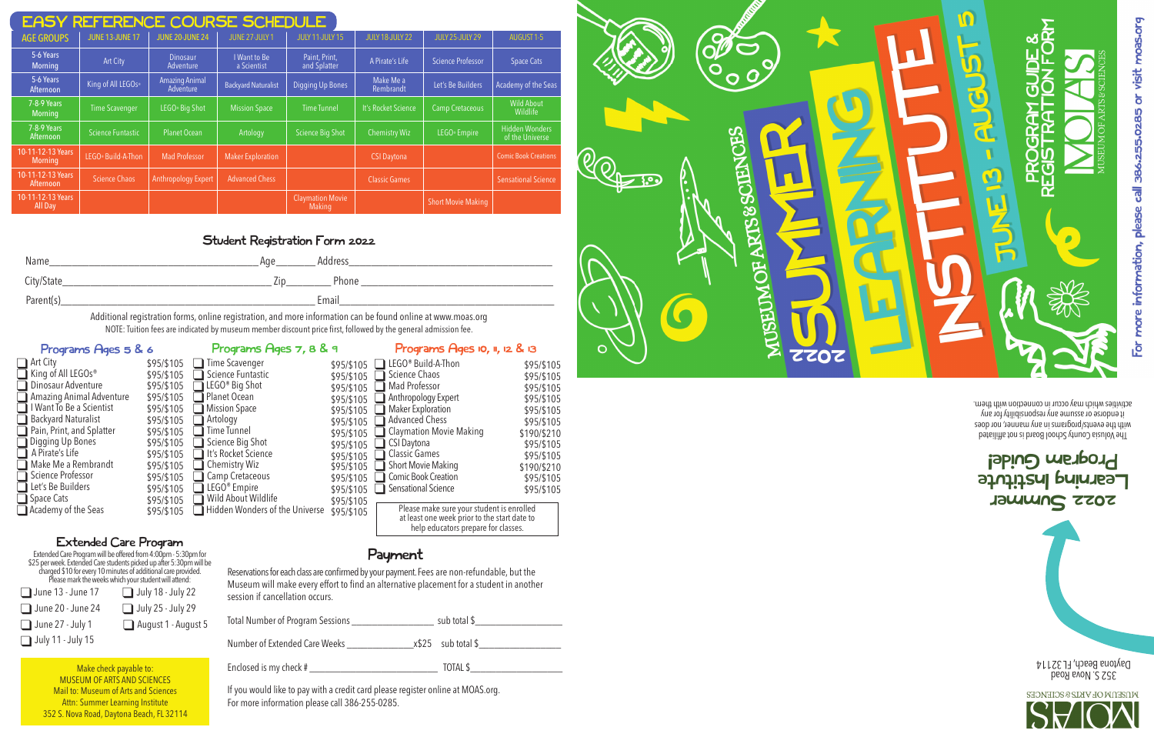# 2022 Summer Learning Institute Program Guide!

352 S. Nova Road Daytona Beach, FL 32114

| <b>EASY REFERENCE COURSE SCHEDULE</b> |                        |                                    |                             |                                   |                        |                           |                                          |  |
|---------------------------------------|------------------------|------------------------------------|-----------------------------|-----------------------------------|------------------------|---------------------------|------------------------------------------|--|
| <b>AGE GROUPS</b>                     | <b>JUNE 13-JUNE 17</b> | <b>JUNE 20-JUNE 24</b>             | <b>JUNE 27-JULY 1</b>       | <b>JULY 11-JULY 15</b>            | <b>JULY 18-JULY 22</b> | <b>JULY 25-JULY 29</b>    | AUGUST 1-5                               |  |
| 5-6 Years<br><b>Morning</b>           | <b>Art City</b>        | <b>Dinosaur</b><br>Adventure       | I Want to Be<br>a Scientist | Paint, Print,<br>and Splatter     | A Pirate's Life        | <b>Science Professor</b>  | <b>Space Cats</b>                        |  |
| 5-6 Years<br>Afternoon                | King of All LEGOs®     | <b>Amazing Animal</b><br>Adventure | <b>Backyard Naturalist</b>  | <b>Digging Up Bones</b>           | Make Me a<br>Rembrandt | Let's Be Builders         | <b>Academy of the Seas</b>               |  |
| 7-8-9 Years<br><b>Morning</b>         | <b>Time Scavenger</b>  | LEGO <sup>®</sup> Big Shot         | <b>Mission Space</b>        | <b>Time Tunnel</b>                | It's Rocket Science    | <b>Camp Cretaceous</b>    | <b>Wild About</b><br>Wildlife            |  |
| 7-8-9 Years<br>Afternoon              | Science Funtastic      | <b>Planet Ocean</b>                | Artology                    | <b>Science Big Shot</b>           | <b>Chemistry Wiz</b>   | LEGO <sup>®</sup> Empire  | <b>Hidden Wonders</b><br>of the Universe |  |
| 10-11-12-13 Years<br><b>Morning</b>   | LEGO® Build-A-Thon     | <b>Mad Professor</b>               | <b>Maker Exploration</b>    |                                   | <b>CSI Daytona</b>     |                           | <b>Comic Book Creations</b>              |  |
| 10-11-12-13 Years<br>Afternoon        | <b>Science Chaos</b>   | <b>Anthropology Expert</b>         | <b>Advanced Chess</b>       |                                   | <b>Classic Games</b>   |                           | <b>Sensational Science</b>               |  |
| 10-11-12-13 Years<br>All Day          |                        |                                    |                             | <b>Claymation Movie</b><br>Making |                        | <b>Short Movie Making</b> |                                          |  |

# Student Registration Form 2022

| Name       | Age | Address |
|------------|-----|---------|
| City/State | /in | Phone   |
| Parent(s)  |     | Email   |

Additional registration forms, online registration, and more information can be found online at www.moas.org NOTE: Tuition fees are indicated by museum member discount price first, followed by the general admission fee.

# Programs Ages 5 & 6 Programs Ages 7, 8 & 9

#### \$95/\$105 **i** Time Scavenger Grience Funtastic<br>
LEGO® Big Shot<br>
Planet Ocean<br>
Mission Space  $\Box$  Artology  $\Box$  Time Tunnel Science Big Shot It's Rocket Science  $\Box$  Chemistry Wiz **q Camp Cretaceous □ LEGO® Empire**  $\overline{\Box}$  Wild About Wildlife \$95/\$105 \$95/\$105 \$95/\$105 \$95/\$105 \$95/\$105 \$95/\$105 \$95/\$105 \$95/\$105 \$95/\$105 \$95/\$105 \$95/\$105 \$95/\$105

**□** Art City **■** King of All LEGOs®  $\overline{\Box}$  Dinosaur Adventure  $\Box$  Amazing Animal Adventure I I Want To Be a Scientist Backyard Naturalist ◯ Pain, Print, and Splatter<br>◯ Digging Up Bones<br>◯ A Pirate's Life Make Me a Rembrandt □ Science Professor **QLet's Be Builders<br>
Space Cats Q Academy of the Seas** \$95/\$105

The Volusia Gounty School Board is not affiling the with the events/programs in any manner, nor does it endorse or assume any responsibility for any activities which may occur in connection with them.

M

# Extended Care Program

|                          | Extended Care Program will be offered from 4:00pm - 5:30pm for<br>\$25 per week. Extended Care students picked up after 5:30pm will be<br>charged \$10 for every 10 minutes of additional care provided.<br>Please mark the weeks which y |
|--------------------------|-------------------------------------------------------------------------------------------------------------------------------------------------------------------------------------------------------------------------------------------|
|                          |                                                                                                                                                                                                                                           |
| $\Box$ June 13 - June 17 | $\Box$ July 18 - July 22                                                                                                                                                                                                                  |
| June 20 - June 24        | $\Box$ July 25 - July 29                                                                                                                                                                                                                  |
| $\Box$ June 27 - July 1  | August 1 - August 5                                                                                                                                                                                                                       |
| $\Box$ July 11 - July 15 |                                                                                                                                                                                                                                           |

Payment

\$95/\$105 LEGO® Build-A-Thon  $\overline{\Box}$  Science Chaos \$95/\$105 ■ Mad Professor Anthropology Expert  $\Box$  Maker Exploration Advanced Chess

Reservations for each class are confirmed by your payment. Fees are non-refundable, but the Museum will make every effort to find an alternative placement for a student in another session if cancellation occurs.

Total Number of Program Sessions \_\_\_\_\_\_\_\_\_\_\_\_\_\_\_\_ sub total \$\_\_\_\_\_\_\_\_\_\_\_\_\_\_\_\_\_

Number of Extended Care Weeks \_\_\_\_\_\_\_\_\_\_\_\_\_x\$25 sub total \$\_\_\_\_\_\_\_\_\_\_\_\_\_\_\_\_

Enclosed is my check # \_\_\_\_\_\_\_\_\_\_\_\_\_\_\_\_\_\_\_\_\_\_\_\_\_ TOTAL \$\_\_\_\_\_\_\_\_\_\_\_\_\_\_\_\_\_\_

Hidden Wonders of the Universe \$95/\$105

If you would like to pay with a credit card please register online at MOAS.org. For more information please call 386-255-0285.





Make check payable to: MUSEUM OF ARTS AND SCIENCES Mail to: Museum of Arts and Sciences Attn: Summer Learning Institute 352 S. Nova Road, Daytona Beach, FL 32114 \$95/\$105

\$95/\$105 \$95/\$105 \$95/\$105 \$95/\$105 \$95/\$105 \$95/\$105 \$95/\$105 \$95/\$105 \$95/\$105 \$95/\$105

G CSI Daytona Classic Games Short Movie Making Comic Book Creation  $\overline{\Box}$  Sensational Science

**q Claymation Movie Making** 

Programs Ages 10, 11, 12 & 13

\$95/\$105 \$95/\$105 \$95/\$105 \$95/\$105 \$95/\$105 \$95/\$105 \$190/\$210 \$95/\$105 \$95/\$105 \$190/\$210 \$95/\$105 \$95/\$105

Please make sure your student is enrolled at least one week prior to the start date to help educators prepare for classes.